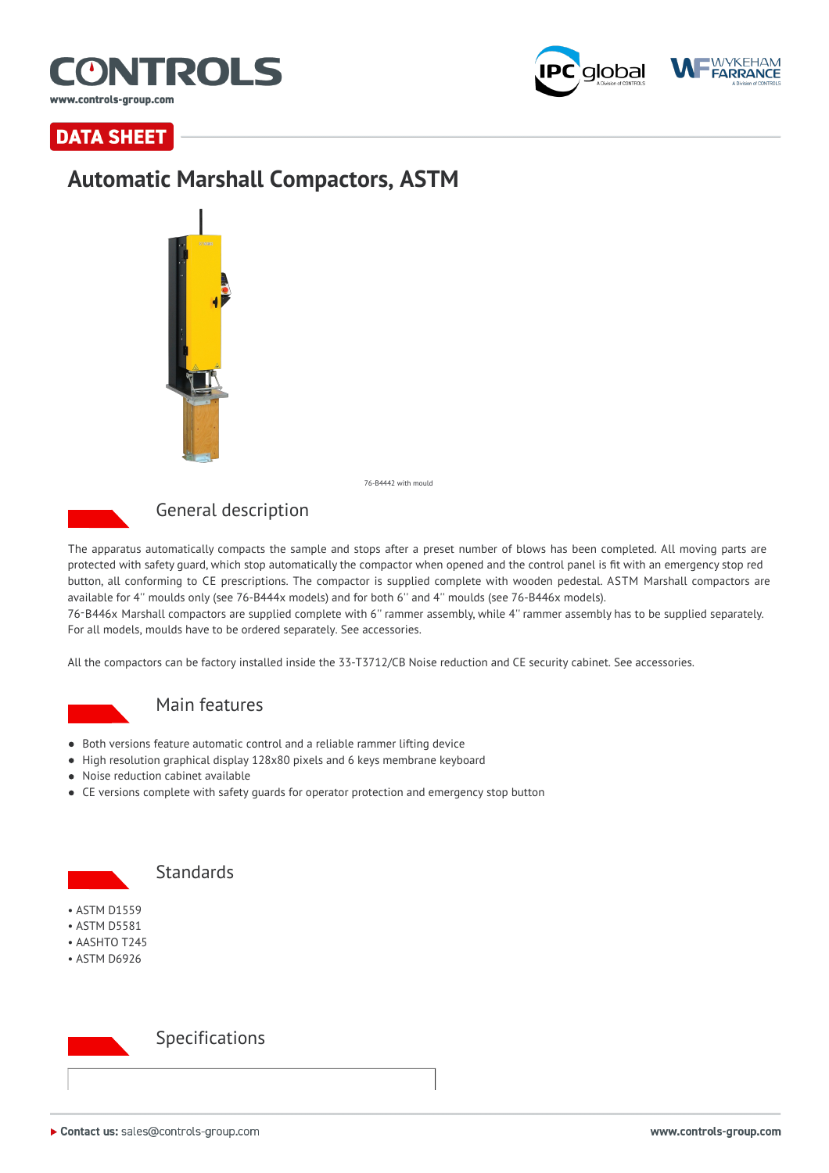



**DATA SHEET** 

## **Automatic Marshall Compactors, ASTM**



76-B4442 with mould



## General description

The apparatus automatically compacts the sample and stops after a preset number of blows has been completed. All moving parts are protected with safety guard, which stop automatically the compactor when opened and the control panel is fit with an emergency stop red button, all conforming to CE prescriptions. The compactor is supplied complete with wooden pedestal. ASTM Marshall compactors are available for 4'' moulds only (see 76-B444x models) and for both 6'' and 4'' moulds (see 76-B446x models).

76-B446x Marshall compactors are supplied complete with 6'' rammer assembly, while 4'' rammer assembly has to be supplied separately. For all models, moulds have to be ordered separately. See accessories.

All the compactors can be factory installed inside the 33-T3712/CB Noise reduction and CE security cabinet. See accessories.



### Main features

- Both versions feature automatic control and a reliable rammer lifting device
- High resolution graphical display 128x80 pixels and 6 keys membrane keyboard
- Noise reduction cabinet available
- CE versions complete with safety guards for operator protection and emergency stop button



### **Standards**

- ASTM D1559
- ASTM D5581
- AASHTO T245
- ASTM D6926



### Specifications

▶ Contact us: sales@controls-group.com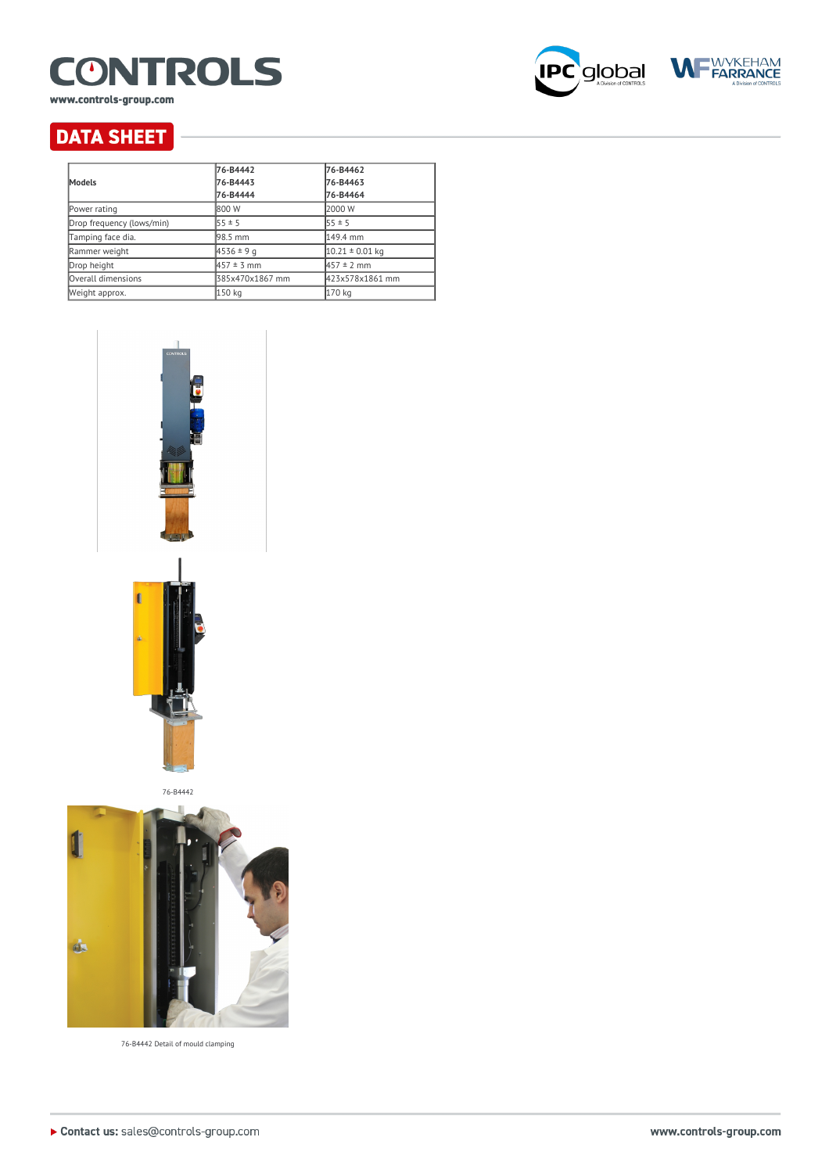

www.controls-group.com





# **DATA SHEET**

| <b>Models</b>             | 76-B4442        | 76-B4462            |
|---------------------------|-----------------|---------------------|
|                           | 76-B4443        | 76-B4463            |
|                           | 76-B4444        | 76-B4464            |
| Power rating              | 1800 W          | 2000 W              |
| Drop frequency (lows/min) | $55 \pm 5$      | $55 \pm 5$          |
| Tamping face dia.         | l98.5 mm        | 149.4 mm            |
| Rammer weight             | $4536 \pm 9q$   | $10.21 \pm 0.01$ kg |
| Drop height               | $457 \pm 3$ mm  | $457 \pm 2$ mm      |
| Overall dimensions        | 385x470x1867 mm | 423x578x1861 mm     |
| Weight approx.            | 150 kg          | 170 kg              |



76-B4442



76-B4442 Detail of mould clamping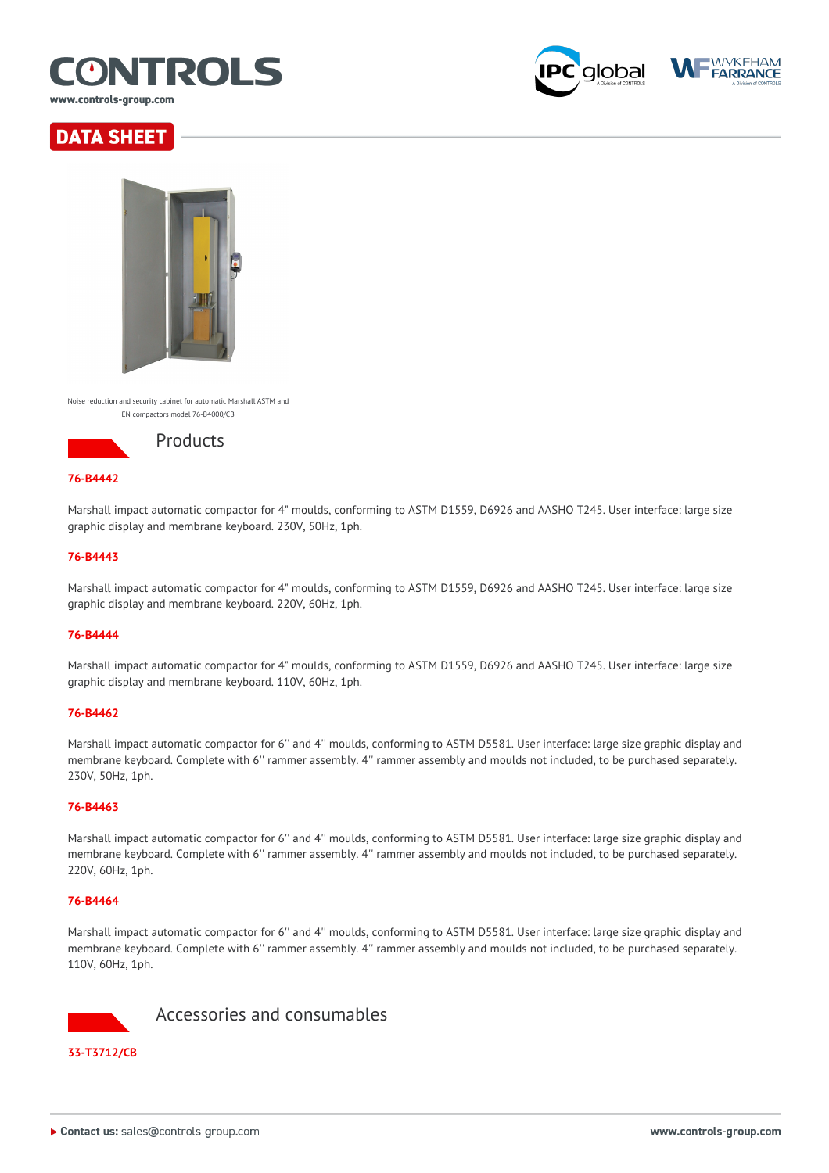

**WYKEHAM**<br>**FARRANCE** alobal





Noise reduction and security cabinet for automatic Marshall ASTM and EN compactors model 76-B4000/CB



#### **76-B4442**

Marshall impact automatic compactor for 4" moulds, conforming to ASTM D1559, D6926 and AASHO T245. User interface: large size graphic display and membrane keyboard. 230V, 50Hz, 1ph.

#### **76-B4443**

Marshall impact automatic compactor for 4" moulds, conforming to ASTM D1559, D6926 and AASHO T245. User interface: large size graphic display and membrane keyboard. 220V, 60Hz, 1ph.

#### **76-B4444**

Marshall impact automatic compactor for 4" moulds, conforming to ASTM D1559, D6926 and AASHO T245. User interface: large size graphic display and membrane keyboard. 110V, 60Hz, 1ph.

#### **76-B4462**

Marshall impact automatic compactor for 6'' and 4'' moulds, conforming to ASTM D5581. User interface: large size graphic display and membrane keyboard. Complete with 6'' rammer assembly. 4'' rammer assembly and moulds not included, to be purchased separately. 230V, 50Hz, 1ph.

#### **76-B4463**

Marshall impact automatic compactor for 6'' and 4'' moulds, conforming to ASTM D5581. User interface: large size graphic display and membrane keyboard. Complete with 6'' rammer assembly. 4'' rammer assembly and moulds not included, to be purchased separately. 220V, 60Hz, 1ph.

#### **76-B4464**

Marshall impact automatic compactor for 6'' and 4'' moulds, conforming to ASTM D5581. User interface: large size graphic display and membrane keyboard. Complete with 6'' rammer assembly. 4'' rammer assembly and moulds not included, to be purchased separately. 110V, 60Hz, 1ph.



▶ Contact us: sales@controls-group.com

Accessories and consumables